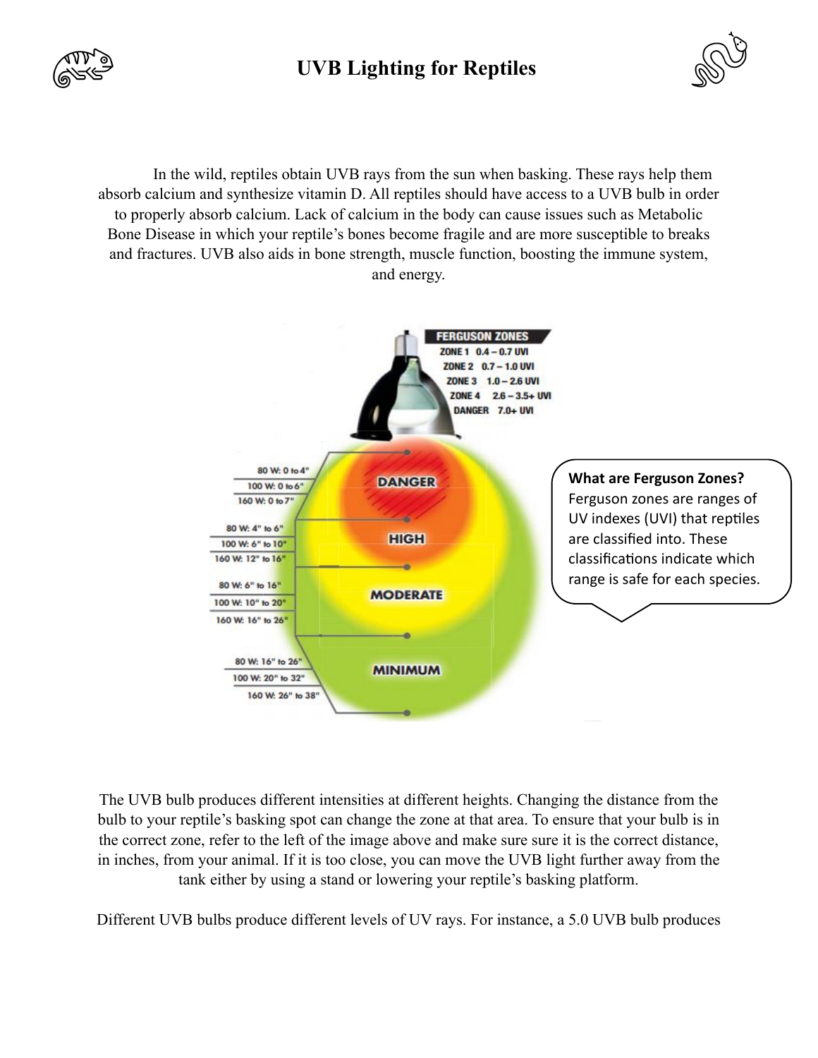

## **UVB Lighting for Reptiles**



In the wild, reptiles obtain UVB rays from the sun when basking. These rays help them absorb calcium and synthesize vitamin D. All reptiles should have access to a UVB bulb in order to properly absorb calcium. Lack of calcium in the body can cause issues such as Metabolic Bone Disease in which your reptile's bones become fragile and are more susceptible to breaks and fractures. UVB also aids in bone strength, muscle function, boosting the immune system, and energy.



The UVB bulb produces different intensities at different heights. Changing the distance from the bulb to your reptile's basking spot can change the zone at that area. To ensure that your bulb is in the correct zone, refer to the left of the image above and make sure sure it is the correct distance, in inches, from your animal. If it is too close, you can move the UVB light further away from the tank either by using a stand or lowering your reptile's basking platform.

Different UVB bulbs produce different levels of UV rays. For instance, a 5.0 UVB bulb produces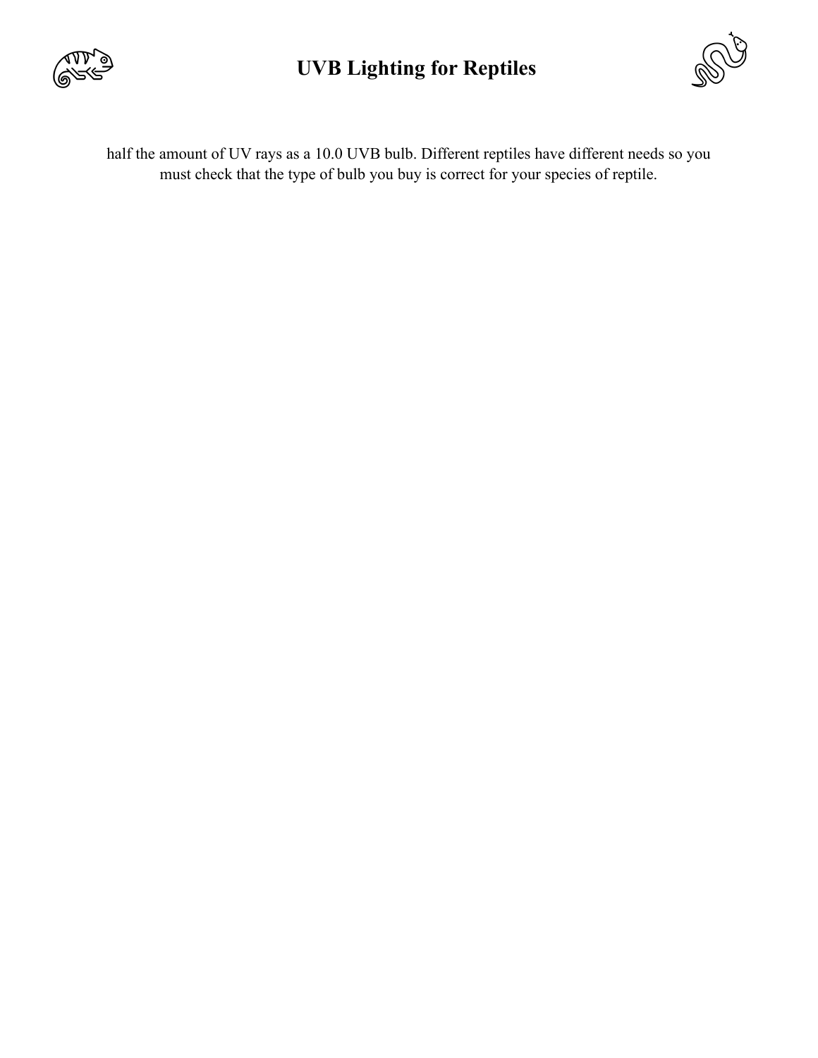

## **UVB Lighting for Reptiles**



half the amount of UV rays as a 10.0 UVB bulb. Different reptiles have different needs so you must check that the type of bulb you buy is correct for your species of reptile.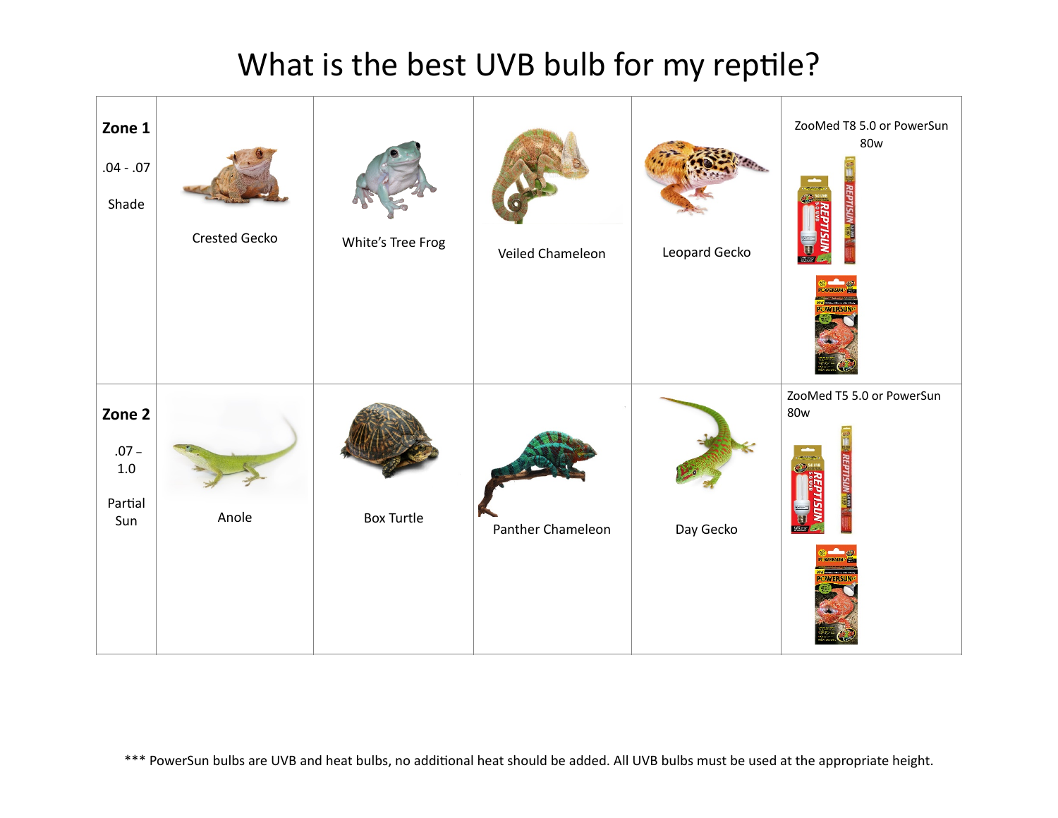## What is the best UVB bulb for my reptile?



\*\*\* PowerSun bulbs are UVB and heat bulbs, no additional heat should be added. All UVB bulbs must be used at the appropriate height.